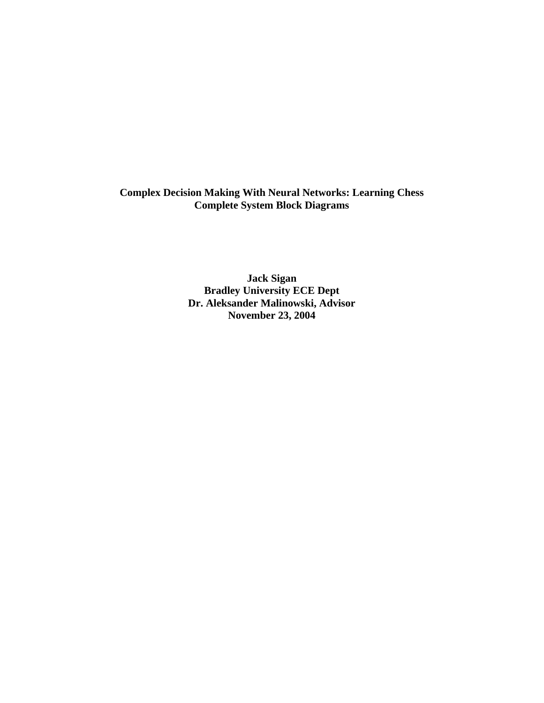**Complex Decision Making With Neural Networks: Learning Chess Complete System Block Diagrams** 

> **Jack Sigan Bradley University ECE Dept Dr. Aleksander Malinowski, Advisor November 23, 2004**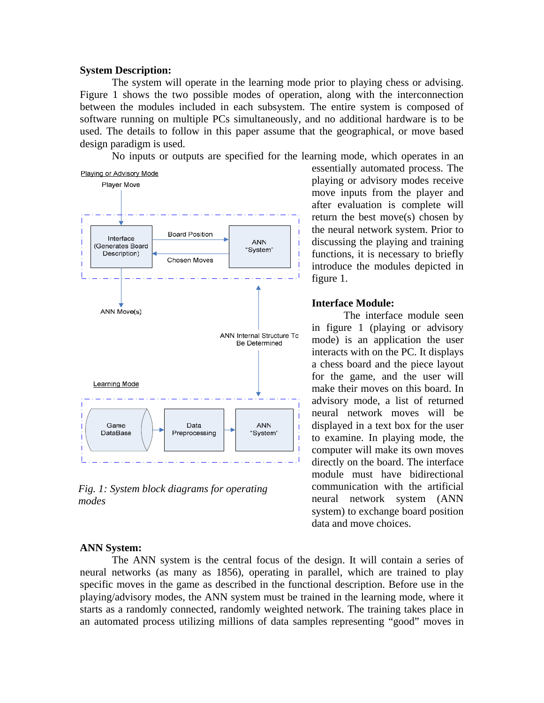#### **System Description:**

 The system will operate in the learning mode prior to playing chess or advising. Figure 1 shows the two possible modes of operation, along with the interconnection between the modules included in each subsystem. The entire system is composed of software running on multiple PCs simultaneously, and no additional hardware is to be used. The details to follow in this paper assume that the geographical, or move based design paradigm is used.

No inputs or outputs are specified for the learning mode, which operates in an



*Fig. 1: System block diagrams for operating modes* 

#### **ANN System:**

 The ANN system is the central focus of the design. It will contain a series of neural networks (as many as 1856), operating in parallel, which are trained to play specific moves in the game as described in the functional description. Before use in the playing/advisory modes, the ANN system must be trained in the learning mode, where it starts as a randomly connected, randomly weighted network. The training takes place in an automated process utilizing millions of data samples representing "good" moves in

essentially automated process. The playing or advisory modes receive move inputs from the player and after evaluation is complete will return the best move(s) chosen by the neural network system. Prior to discussing the playing and training functions, it is necessary to briefly introduce the modules depicted in figure 1.

### **Interface Module:**

 The interface module seen in figure 1 (playing or advisory mode) is an application the user interacts with on the PC. It displays a chess board and the piece layout for the game, and the user will make their moves on this board. In advisory mode, a list of returned neural network moves will be displayed in a text box for the user to examine. In playing mode, the computer will make its own moves directly on the board. The interface module must have bidirectional communication with the artificial neural network system (ANN system) to exchange board position data and move choices.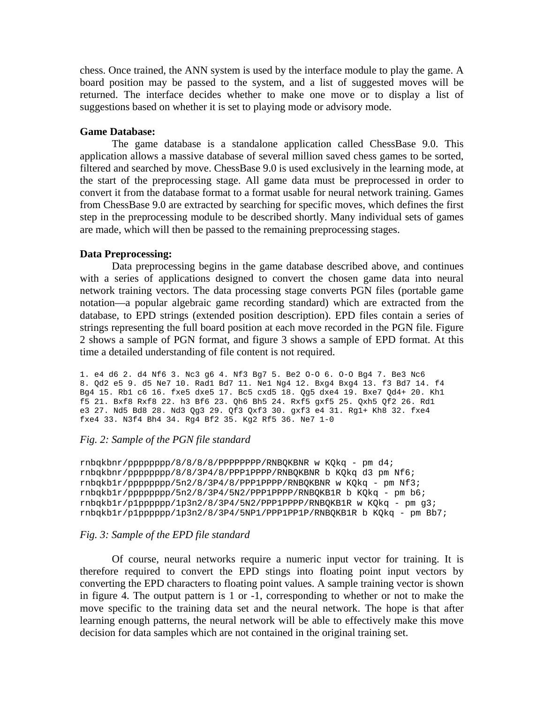chess. Once trained, the ANN system is used by the interface module to play the game. A board position may be passed to the system, and a list of suggested moves will be returned. The interface decides whether to make one move or to display a list of suggestions based on whether it is set to playing mode or advisory mode.

### **Game Database:**

 The game database is a standalone application called ChessBase 9.0. This application allows a massive database of several million saved chess games to be sorted, filtered and searched by move. ChessBase 9.0 is used exclusively in the learning mode, at the start of the preprocessing stage. All game data must be preprocessed in order to convert it from the database format to a format usable for neural network training. Games from ChessBase 9.0 are extracted by searching for specific moves, which defines the first step in the preprocessing module to be described shortly. Many individual sets of games are made, which will then be passed to the remaining preprocessing stages.

### **Data Preprocessing:**

 Data preprocessing begins in the game database described above, and continues with a series of applications designed to convert the chosen game data into neural network training vectors. The data processing stage converts PGN files (portable game notation—a popular algebraic game recording standard) which are extracted from the database, to EPD strings (extended position description). EPD files contain a series of strings representing the full board position at each move recorded in the PGN file. Figure 2 shows a sample of PGN format, and figure 3 shows a sample of EPD format. At this time a detailed understanding of file content is not required.

1. e4 d6 2. d4 Nf6 3. Nc3 g6 4. Nf3 Bg7 5. Be2 O-O 6. O-O Bg4 7. Be3 Nc6 8. Qd2 e5 9. d5 Ne7 10. Rad1 Bd7 11. Ne1 Ng4 12. Bxg4 Bxg4 13. f3 Bd7 14. f4 Bg4 15. Rb1 c6 16. fxe5 dxe5 17. Bc5 cxd5 18. Qg5 dxe4 19. Bxe7 Qd4+ 20. Kh1 f5 21. Bxf8 Rxf8 22. h3 Bf6 23. Qh6 Bh5 24. Rxf5 gxf5 25. Qxh5 Qf2 26. Rd1 e3 27. Nd5 Bd8 28. Nd3 Qg3 29. Qf3 Qxf3 30. gxf3 e4 31. Rg1+ Kh8 32. fxe4 fxe4 33. N3f4 Bh4 34. Rg4 Bf2 35. Kg2 Rf5 36. Ne7 1-0

# *Fig. 2: Sample of the PGN file standard*

```
rnbqkbnr/pppppppp/8/8/8/8/PPPPPPPP/RNBQKBNR w KQkq - pm d4; 
rnbqkbnr/pppppppp/8/8/3P4/8/PPP1PPPP/RNBQKBNR b KQkq d3 pm Nf6; 
rnbqkb1r/pppppppp/5n2/8/3P4/8/PPP1PPPP/RNBQKBNR w KQkq - pm Nf3; 
rnbqkb1r/pppppppp/5n2/8/3P4/5N2/PPP1PPPP/RNBQKB1R b KQkq - pm b6; 
rnbqkb1r/p1pppppp/1p3n2/8/3P4/5N2/PPP1PPPP/RNBQKB1R w KQkq - pm g3; 
rnbqkb1r/p1pppppp/1p3n2/8/3P4/5NP1/PPP1PP1P/RNBQKB1R b KQkq - pm Bb7;
```
### *Fig. 3: Sample of the EPD file standard*

Of course, neural networks require a numeric input vector for training. It is therefore required to convert the EPD stings into floating point input vectors by converting the EPD characters to floating point values. A sample training vector is shown in figure 4. The output pattern is 1 or -1, corresponding to whether or not to make the move specific to the training data set and the neural network. The hope is that after learning enough patterns, the neural network will be able to effectively make this move decision for data samples which are not contained in the original training set.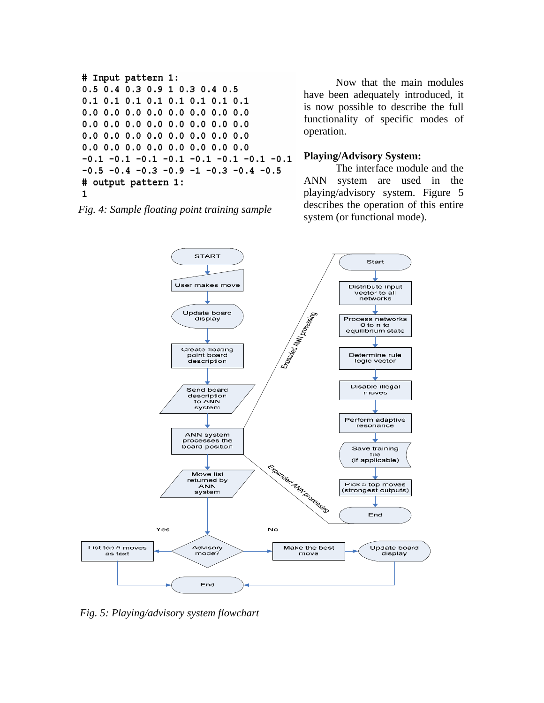```
# Input pattern 1:
0.5 0.4 0.3 0.9 1 0.3 0.4 0.5
0.1 0.1 0.1 0.1 0.1 0.1 0.1 0.1
0.0 0.0 0.0 0.0 0.0 0.0 0.0 0.00.0 \t0.0 \t0.0 \t0.0 \t0.0 \t0.0 \t0.0 \t0.00.0 0.0 0.0 0.0 0.0 0.0 0.0 0.00.0 0.0 0.0 0.0 0.0 0.0 0.0 0.0-0.1 -0.1 -0.1 -0.1 -0.1 -0.1 -0.1 -0.1-0.5 -0.4 -0.3 -0.9 -1 -0.3 -0.4 -0.5# output pattern 1:
\mathbf{1}
```
*Fig. 4: Sample floating point training sample*

Now that the main modules have been adequately introduced, it is now possible to describe the full functionality of specific modes of operation.

# **Playing/Advisory System:**

The interface module and the ANN system are used in the playing/advisory system. Figure 5 describes the operation of this entire system (or functional mode).



*Fig. 5: Playing/advisory system flowchart*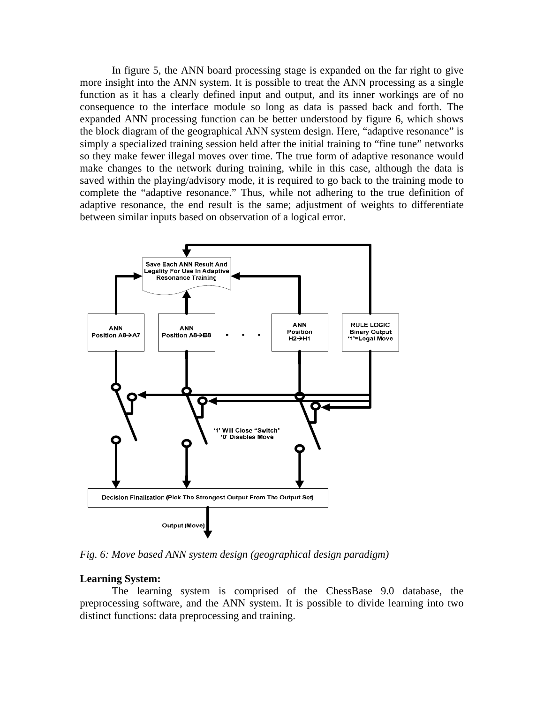In figure 5, the ANN board processing stage is expanded on the far right to give more insight into the ANN system. It is possible to treat the ANN processing as a single function as it has a clearly defined input and output, and its inner workings are of no consequence to the interface module so long as data is passed back and forth. The expanded ANN processing function can be better understood by figure 6, which shows the block diagram of the geographical ANN system design. Here, "adaptive resonance" is simply a specialized training session held after the initial training to "fine tune" networks so they make fewer illegal moves over time. The true form of adaptive resonance would make changes to the network during training, while in this case, although the data is saved within the playing/advisory mode, it is required to go back to the training mode to complete the "adaptive resonance." Thus, while not adhering to the true definition of adaptive resonance, the end result is the same; adjustment of weights to differentiate between similar inputs based on observation of a logical error.



*Fig. 6: Move based ANN system design (geographical design paradigm)* 

# **Learning System:**

 The learning system is comprised of the ChessBase 9.0 database, the preprocessing software, and the ANN system. It is possible to divide learning into two distinct functions: data preprocessing and training.